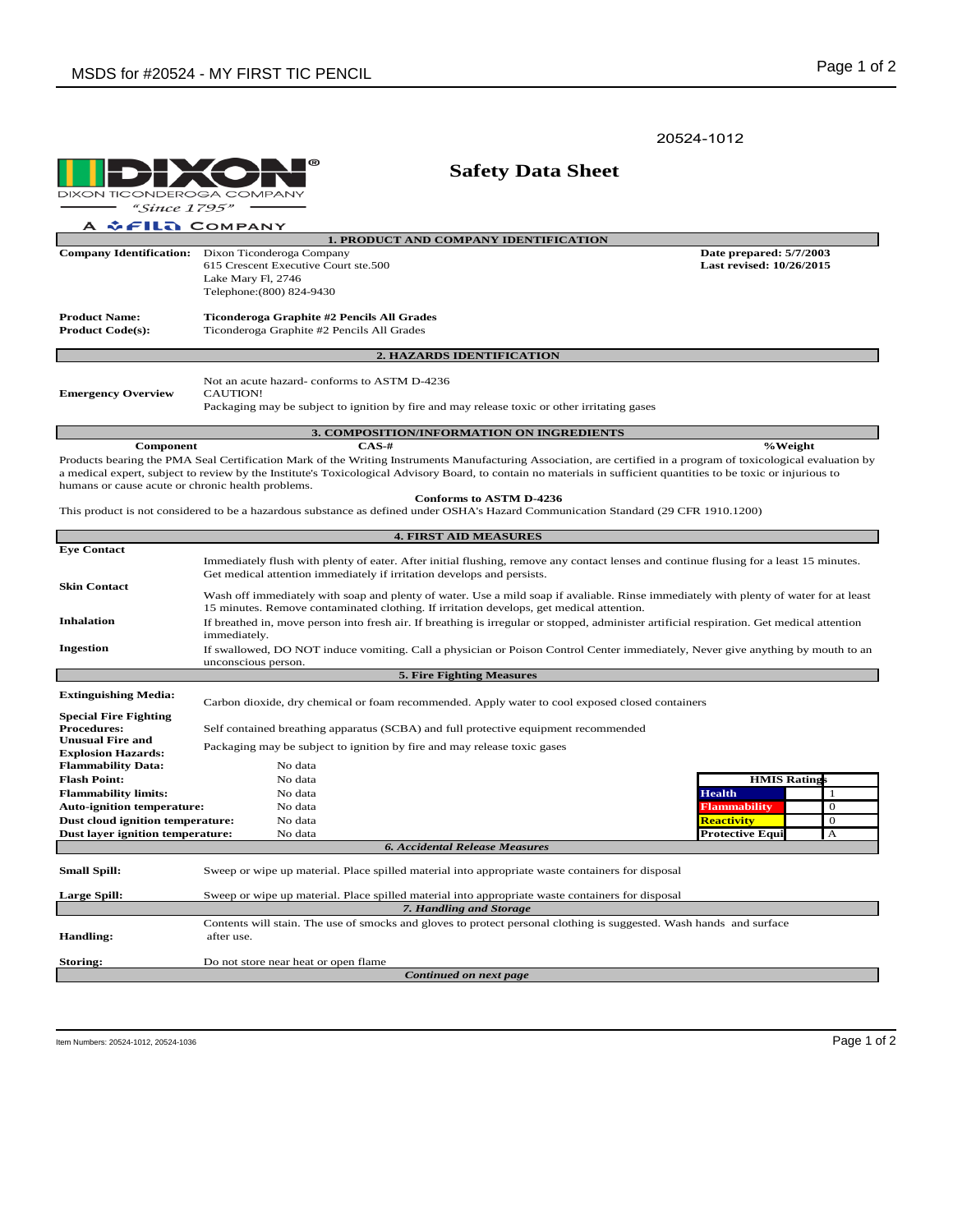20524-1012

**O** DIXON TICONDEROGA COMPANY  $-$  "Since 1795" A & FILA COMPANY

|                                                                                                                                     | <b>1. PRODUCT AND COMPANY IDENTIFICATION</b>                                                                                                                      |                                                     |  |  |  |  |  |
|-------------------------------------------------------------------------------------------------------------------------------------|-------------------------------------------------------------------------------------------------------------------------------------------------------------------|-----------------------------------------------------|--|--|--|--|--|
| <b>Company Identification:</b>                                                                                                      | Dixon Ticonderoga Company<br>615 Crescent Executive Court ste.500                                                                                                 | Date prepared: 5/7/2003<br>Last revised: 10/26/2015 |  |  |  |  |  |
|                                                                                                                                     | Lake Mary Fl, 2746                                                                                                                                                |                                                     |  |  |  |  |  |
|                                                                                                                                     | Telephone: (800) 824-9430                                                                                                                                         |                                                     |  |  |  |  |  |
|                                                                                                                                     |                                                                                                                                                                   |                                                     |  |  |  |  |  |
| <b>Product Name:</b>                                                                                                                | Ticonderoga Graphite #2 Pencils All Grades                                                                                                                        |                                                     |  |  |  |  |  |
| <b>Product Code(s):</b>                                                                                                             | Ticonderoga Graphite #2 Pencils All Grades                                                                                                                        |                                                     |  |  |  |  |  |
|                                                                                                                                     |                                                                                                                                                                   |                                                     |  |  |  |  |  |
|                                                                                                                                     | 2. HAZARDS IDENTIFICATION                                                                                                                                         |                                                     |  |  |  |  |  |
|                                                                                                                                     | Not an acute hazard-conforms to ASTM D-4236                                                                                                                       |                                                     |  |  |  |  |  |
| <b>Emergency Overview</b>                                                                                                           | CAUTION!                                                                                                                                                          |                                                     |  |  |  |  |  |
|                                                                                                                                     | Packaging may be subject to ignition by fire and may release toxic or other irritating gases                                                                      |                                                     |  |  |  |  |  |
|                                                                                                                                     |                                                                                                                                                                   |                                                     |  |  |  |  |  |
|                                                                                                                                     | <b>3. COMPOSITION/INFORMATION ON INGREDIENTS</b>                                                                                                                  |                                                     |  |  |  |  |  |
| Component                                                                                                                           | $CAS-#$                                                                                                                                                           | %Weight                                             |  |  |  |  |  |
|                                                                                                                                     | Products bearing the PMA Seal Certification Mark of the Writing Instruments Manufacturing Association, are certified in a program of toxicological evaluation by  |                                                     |  |  |  |  |  |
|                                                                                                                                     | a medical expert, subject to review by the Institute's Toxicological Advisory Board, to contain no materials in sufficient quantities to be toxic or injurious to |                                                     |  |  |  |  |  |
| humans or cause acute or chronic health problems.                                                                                   |                                                                                                                                                                   |                                                     |  |  |  |  |  |
|                                                                                                                                     | <b>Conforms to ASTM D-4236</b>                                                                                                                                    |                                                     |  |  |  |  |  |
| This product is not considered to be a hazardous substance as defined under OSHA's Hazard Communication Standard (29 CFR 1910.1200) |                                                                                                                                                                   |                                                     |  |  |  |  |  |
| <b>4. FIRST AID MEASURES</b>                                                                                                        |                                                                                                                                                                   |                                                     |  |  |  |  |  |
| <b>Eve Contact</b>                                                                                                                  |                                                                                                                                                                   |                                                     |  |  |  |  |  |
|                                                                                                                                     | Immediately flush with plenty of eater. After initial flushing, remove any contact lenses and continue flusing for a least 15 minutes.                            |                                                     |  |  |  |  |  |
|                                                                                                                                     | Get medical attention immediately if irritation develops and persists.                                                                                            |                                                     |  |  |  |  |  |
| <b>Skin Contact</b>                                                                                                                 |                                                                                                                                                                   |                                                     |  |  |  |  |  |
|                                                                                                                                     | Wash off immediately with soap and plenty of water. Use a mild soap if avaliable. Rinse immediately with plenty of water for at least                             |                                                     |  |  |  |  |  |
| <b>Inhalation</b>                                                                                                                   | 15 minutes. Remove contaminated clothing. If irritation develops, get medical attention.                                                                          |                                                     |  |  |  |  |  |
|                                                                                                                                     | If breathed in, move person into fresh air. If breathing is irregular or stopped, administer artificial respiration. Get medical attention<br>immediately.        |                                                     |  |  |  |  |  |
| <b>Ingestion</b>                                                                                                                    |                                                                                                                                                                   |                                                     |  |  |  |  |  |
|                                                                                                                                     | If swallowed, DO NOT induce vomiting. Call a physician or Poison Control Center immediately, Never give anything by mouth to an<br>unconscious person.            |                                                     |  |  |  |  |  |
| <b>5. Fire Fighting Measures</b>                                                                                                    |                                                                                                                                                                   |                                                     |  |  |  |  |  |

 **Safety Data Sheet**

| <b>Extinguishing Media:</b>       |                                                                                                  | Carbon dioxide, dry chemical or foam recommended. Apply water to cool exposed closed containers                     |                        |          |  |  |  |
|-----------------------------------|--------------------------------------------------------------------------------------------------|---------------------------------------------------------------------------------------------------------------------|------------------------|----------|--|--|--|
| <b>Special Fire Fighting</b>      |                                                                                                  |                                                                                                                     |                        |          |  |  |  |
| <b>Procedures:</b>                | Self contained breathing apparatus (SCBA) and full protective equipment recommended              |                                                                                                                     |                        |          |  |  |  |
| <b>Unusual Fire and</b>           |                                                                                                  |                                                                                                                     |                        |          |  |  |  |
| <b>Explosion Hazards:</b>         | Packaging may be subject to ignition by fire and may release toxic gases                         |                                                                                                                     |                        |          |  |  |  |
| <b>Flammability Data:</b>         |                                                                                                  | No data                                                                                                             |                        |          |  |  |  |
| <b>Flash Point:</b>               |                                                                                                  | No data                                                                                                             | <b>HMIS Ratings</b>    |          |  |  |  |
| <b>Flammability limits:</b>       |                                                                                                  | No data                                                                                                             | <b>Health</b>          |          |  |  |  |
| <b>Auto-ignition temperature:</b> |                                                                                                  | No data                                                                                                             | <b>Flammability</b>    | $\theta$ |  |  |  |
| Dust cloud ignition temperature:  |                                                                                                  | No data                                                                                                             | <b>Reactivity</b>      | $\theta$ |  |  |  |
| Dust layer ignition temperature:  |                                                                                                  | No data                                                                                                             | <b>Protective Equi</b> | A        |  |  |  |
|                                   |                                                                                                  | <b>6. Accidental Release Measures</b>                                                                               |                        |          |  |  |  |
| <b>Small Spill:</b>               |                                                                                                  | Sweep or wipe up material. Place spilled material into appropriate waste containers for disposal                    |                        |          |  |  |  |
| <b>Large Spill:</b>               | Sweep or wipe up material. Place spilled material into appropriate waste containers for disposal |                                                                                                                     |                        |          |  |  |  |
| 7. Handling and Storage           |                                                                                                  |                                                                                                                     |                        |          |  |  |  |
|                                   |                                                                                                  | Contents will stain. The use of smocks and gloves to protect personal clothing is suggested. Wash hands and surface |                        |          |  |  |  |
| <b>Handling:</b>                  | after use.                                                                                       |                                                                                                                     |                        |          |  |  |  |
| Storing:                          | Do not store near heat or open flame                                                             |                                                                                                                     |                        |          |  |  |  |
| Continued on next page            |                                                                                                  |                                                                                                                     |                        |          |  |  |  |